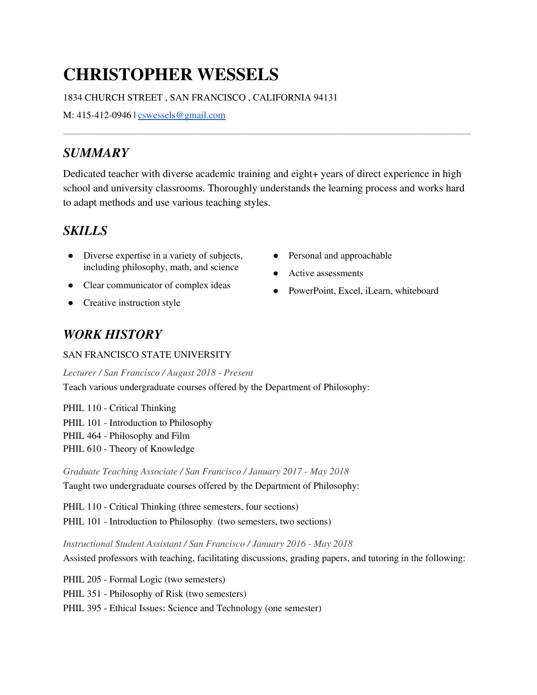# **CHRISTOPHER WESSELS**

#### 1834 CHURCH STREET , SAN FRANCISCO , CALIFORNIA 94131

M: 415-412-0946 | <u>[cswessels@gmail.com](mailto:cswessels@gmail.com)</u>

## *SUMMARY*

 Dedicated teacher with diverse academic training and eight+ years of direct experience in high school and university classrooms. Thoroughly understands the learning process and works hard to adapt methods and use various teaching styles.

 $\frac{1}{2}$  ,  $\frac{1}{2}$  ,  $\frac{1}{2}$  ,  $\frac{1}{2}$  ,  $\frac{1}{2}$  ,  $\frac{1}{2}$  ,  $\frac{1}{2}$  ,  $\frac{1}{2}$  ,  $\frac{1}{2}$  ,  $\frac{1}{2}$  ,  $\frac{1}{2}$  ,  $\frac{1}{2}$  ,  $\frac{1}{2}$  ,  $\frac{1}{2}$  ,  $\frac{1}{2}$  ,  $\frac{1}{2}$  ,  $\frac{1}{2}$  ,  $\frac{1}{2}$  ,  $\frac{1$ 

## *SKILLS*

- Diverse expertise in a variety of subjects, Personal and approachable including philosophy, math, and science
- Clear communicator of complex ideas
- Creative instruction style
- Personal and approachable
- Active assessments
- PowerPoint, Excel, iLearn, whiteboard

# *WORK HISTORY*

#### SAN FRANCISCO STATE UNIVERSITY

 *Lecturer / San Francisco / August 2018 - Present* Teach various undergraduate courses offered by the Department of Philosophy:

 PHIL 110 - Critical Thinking PHIL 101 - Introduction to Philosophy PHIL 464 - Philosophy and Film PHIL 610 - Theory of Knowledge

 *Graduate Teaching Associate / San Francisco / January 2017 - May 2018* Taught two undergraduate courses offered by the Department of Philosophy:

 PHIL 110 - Critical Thinking (three semesters, four sections) PHIL 101 - Introduction to Philosophy (two semesters, two sections)

 *Instructional Student Assistant / San Francisco / January 2016 - May 2018* Assisted professors with teaching, facilitating discussions, grading papers, and tutoring in the following:

PHIL 205 - Formal Logic (two semesters)

PHIL 351 - Philosophy of Risk (two semesters)

PHIL 395 - Ethical Issues: Science and Technology (one semester)